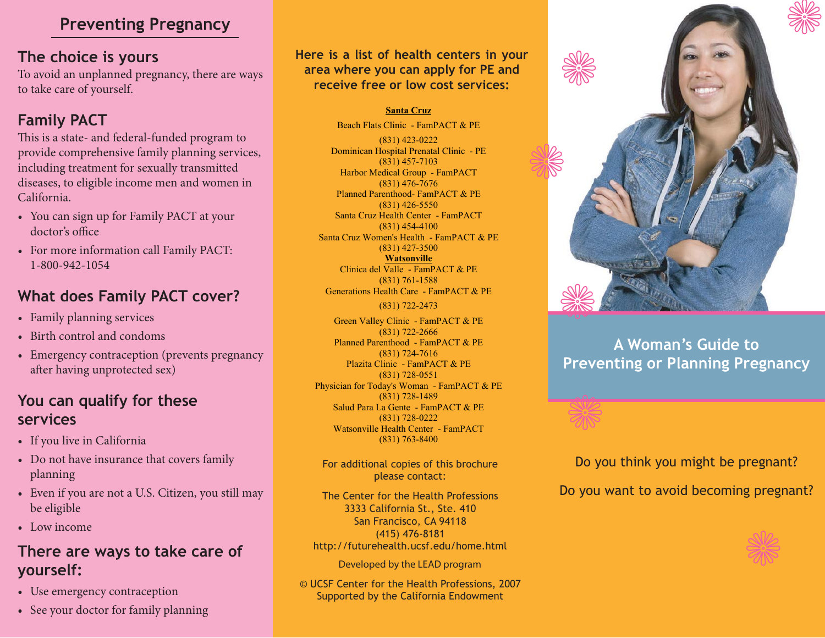#### **Preventing Pregnancy**

#### **The choice is yours**

To avoid an unplanned pregnancy, there are ways to take care of yourself.

### **Family PACT**

This is a state- and federal-funded program to provide comprehensive family planning services, including treatment for sexually transmitted diseases, to eligible income men and women in California.

- You can sign up for Family PACT at your doctor's office
- For more information call Family PACT: 1-800-942-1054

#### **What does Family PACT cover?**

- Family planning services •
- Birth control and condoms
- Emergency contraception (prevents pregnancy after having unprotected sex)

#### **You can qualify for these services**

- If you live in California
- Do not have insurance that covers family planning
- Even if you are not a U.S. Citizen, you still may be eligible
- Low income

#### **There are ways to take care of yourself:**

- Use emergency contraception
- See your doctor for family planning

**Here is a list of health centers in your area where you can apply for PE and receive free or low cost services:**

#### **Santa Cruz**

Beach Flats Clinic - FamPACT & PE(831) 423-0222 Dominican Hospital Prenatal Clinic - PE (831) 457-7103 Harbor Medical Group - FamPACT (831) 476-7676 Planned Parenthood- FamPACT & PE (831) 426-5550 Santa Cruz Health Center - FamPACT (831) 454-4100 Santa Cruz Women's Health - FamPACT & PE (831) 427-3500 **Watsonville** Clinica del Valle - FamPACT & PE (831) 761-1588 Generations Health Care - FamPACT & PE

(831) 722-2473

Green Valley Clinic - FamPACT & PE(831) 722-2666 Planned Parenthood - FamPACT & PE (831) 724-7616 Plazita Clinic - FamPACT & PE (831) 728-0551 Physician for Today's Woman - FamPACT & PE (831) 728-1489 Salud Para La Gente - FamPACT & PE (831) 728-0222 Watsonville Health Center - FamPACT (831) 763-8400

For additional copies of this brochure please contact:

The Center for the Health Professions3333 California St., Ste. 410 San Francisco, CA 94118 (415) 476-8181 http://futurehealth.ucsf.edu/home.html

Developed by the LEAD program

© UCSF Center for the Health Professions, 2007 Supported by the California Endowment



#### **A Woman's Guide toPreventing or Planning Pregnancy**

Do you think you might be pregnant?

Do you want to avoid becoming pregnant?